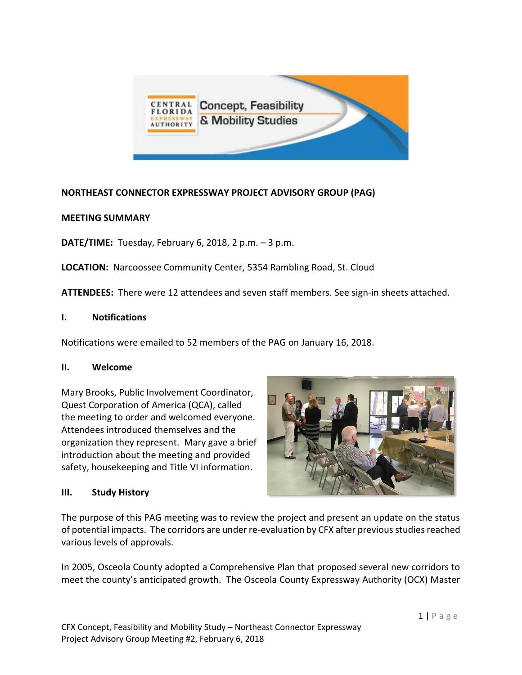

# **NORTHEAST CONNECTOR EXPRESSWAY PROJECT ADVISORY GROUP (PAG)**

#### **MEETING SUMMARY**

**DATE/TIME:** Tuesday, February 6, 2018, 2 p.m. – 3 p.m.

**LOCATION:** Narcoossee Community Center, 5354 Rambling Road, St. Cloud

**ATTENDEES:** There were 12 attendees and seven staff members. See sign-in sheets attached.

#### **I. Notifications**

Notifications were emailed to 52 members of the PAG on January 16, 2018.

#### **II. Welcome**

Mary Brooks, Public Involvement Coordinator, Quest Corporation of America (QCA), called the meeting to order and welcomed everyone. Attendees introduced themselves and the organization they represent. Mary gave a brief introduction about the meeting and provided safety, housekeeping and Title VI information.

### **III. Study History**



The purpose of this PAG meeting was to review the project and present an update on the status of potential impacts. The corridors are under re-evaluation by CFX after previous studies reached various levels of approvals.

In 2005, Osceola County adopted a Comprehensive Plan that proposed several new corridors to meet the county's anticipated growth. The Osceola County Expressway Authority (OCX) Master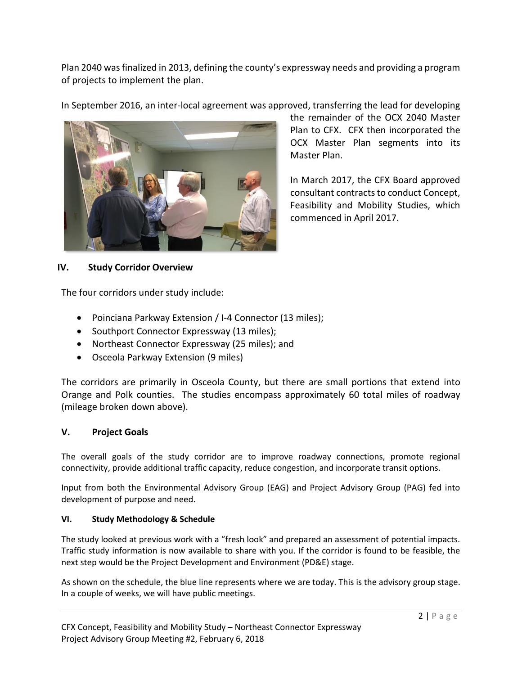Plan 2040 was finalized in 2013, defining the county's expressway needs and providing a program of projects to implement the plan.

In September 2016, an inter-local agreement was approved, transferring the lead for developing



the remainder of the OCX 2040 Master Plan to CFX. CFX then incorporated the OCX Master Plan segments into its Master Plan.

In March 2017, the CFX Board approved consultant contracts to conduct Concept, Feasibility and Mobility Studies, which commenced in April 2017.

### **IV. Study Corridor Overview**

The four corridors under study include:

- Poinciana Parkway Extension / I-4 Connector (13 miles);
- Southport Connector Expressway (13 miles);
- Northeast Connector Expressway (25 miles); and
- Osceola Parkway Extension (9 miles)

The corridors are primarily in Osceola County, but there are small portions that extend into Orange and Polk counties. The studies encompass approximately 60 total miles of roadway (mileage broken down above).

### **V. Project Goals**

The overall goals of the study corridor are to improve roadway connections, promote regional connectivity, provide additional traffic capacity, reduce congestion, and incorporate transit options.

Input from both the Environmental Advisory Group (EAG) and Project Advisory Group (PAG) fed into development of purpose and need.

#### **VI. Study Methodology & Schedule**

The study looked at previous work with a "fresh look" and prepared an assessment of potential impacts. Traffic study information is now available to share with you. If the corridor is found to be feasible, the next step would be the Project Development and Environment (PD&E) stage.

As shown on the schedule, the blue line represents where we are today. This is the advisory group stage. In a couple of weeks, we will have public meetings.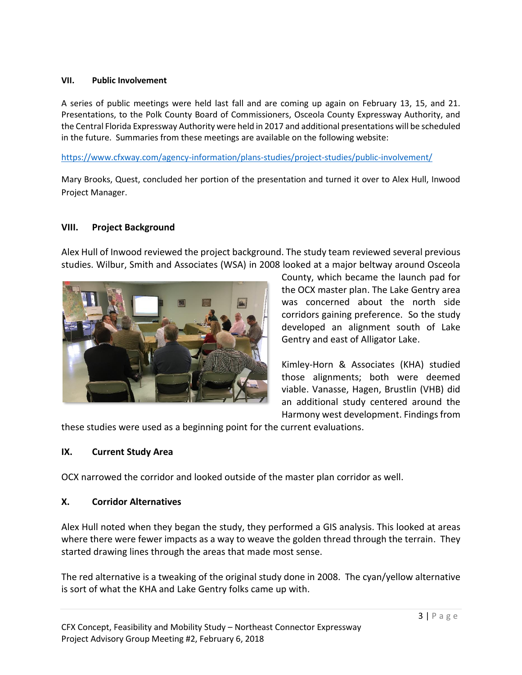#### **VII. Public Involvement**

A series of public meetings were held last fall and are coming up again on February 13, 15, and 21. Presentations, to the Polk County Board of Commissioners, Osceola County Expressway Authority, and the Central Florida Expressway Authority were held in 2017 and additional presentations will be scheduled in the future. Summaries from these meetings are available on the following website:

<https://www.cfxway.com/agency-information/plans-studies/project-studies/public-involvement/>

Mary Brooks, Quest, concluded her portion of the presentation and turned it over to Alex Hull, Inwood Project Manager.

# **VIII. Project Background**

Alex Hull of Inwood reviewed the project background. The study team reviewed several previous studies. Wilbur, Smith and Associates (WSA) in 2008 looked at a major beltway around Osceola



County, which became the launch pad for the OCX master plan. The Lake Gentry area was concerned about the north side corridors gaining preference. So the study developed an alignment south of Lake Gentry and east of Alligator Lake.

Kimley-Horn & Associates (KHA) studied those alignments; both were deemed viable. Vanasse, Hagen, Brustlin (VHB) did an additional study centered around the Harmony west development. Findings from

these studies were used as a beginning point for the current evaluations.

### **IX. Current Study Area**

OCX narrowed the corridor and looked outside of the master plan corridor as well.

#### **X. Corridor Alternatives**

Alex Hull noted when they began the study, they performed a GIS analysis. This looked at areas where there were fewer impacts as a way to weave the golden thread through the terrain. They started drawing lines through the areas that made most sense.

The red alternative is a tweaking of the original study done in 2008. The cyan/yellow alternative is sort of what the KHA and Lake Gentry folks came up with.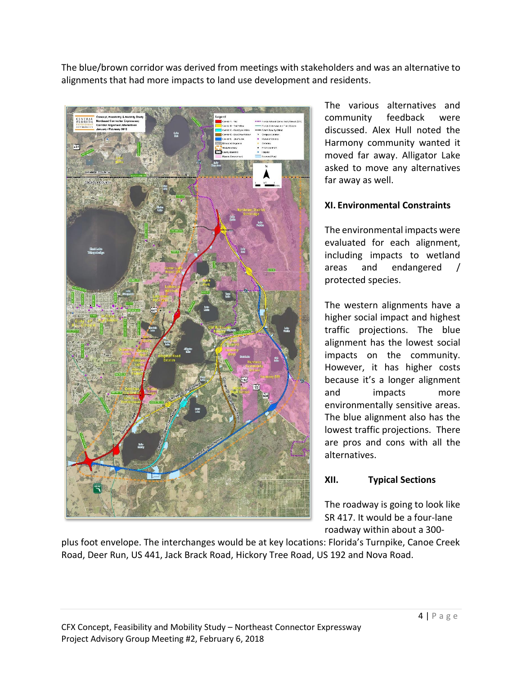The blue/brown corridor was derived from meetings with stakeholders and was an alternative to alignments that had more impacts to land use development and residents.



The various alternatives and community feedback were discussed. Alex Hull noted the Harmony community wanted it moved far away. Alligator Lake asked to move any alternatives far away as well.

### **XI. Environmental Constraints**

The environmental impacts were evaluated for each alignment, including impacts to wetland areas and endangered / protected species.

The western alignments have a higher social impact and highest traffic projections. The blue alignment has the lowest social impacts on the community. However, it has higher costs because it's a longer alignment and impacts more environmentally sensitive areas. The blue alignment also has the lowest traffic projections. There are pros and cons with all the alternatives.

# **XII. Typical Sections**

The roadway is going to look like SR 417. It would be a four-lane roadway within about a 300-

plus foot envelope. The interchanges would be at key locations: Florida's Turnpike, Canoe Creek Road, Deer Run, US 441, Jack Brack Road, Hickory Tree Road, US 192 and Nova Road.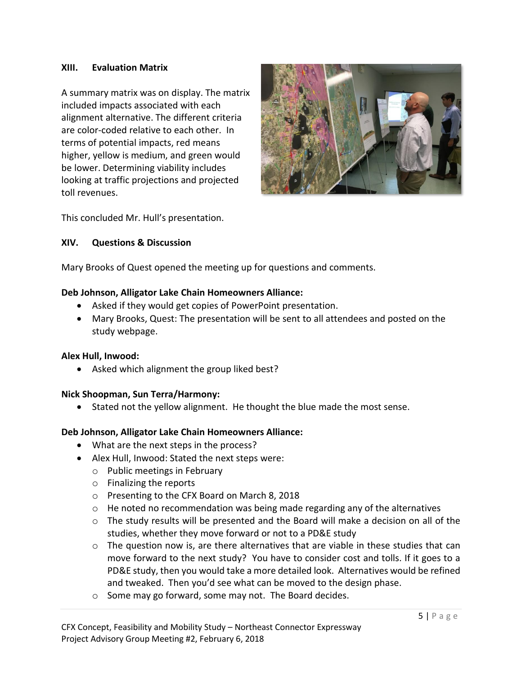#### **XIII. Evaluation Matrix**

A summary matrix was on display. The matrix included impacts associated with each alignment alternative. The different criteria are color-coded relative to each other. In terms of potential impacts, red means higher, yellow is medium, and green would be lower. Determining viability includes looking at traffic projections and projected toll revenues.



This concluded Mr. Hull's presentation.

#### **XIV. Questions & Discussion**

Mary Brooks of Quest opened the meeting up for questions and comments.

#### **Deb Johnson, Alligator Lake Chain Homeowners Alliance:**

- Asked if they would get copies of PowerPoint presentation.
- Mary Brooks, Quest: The presentation will be sent to all attendees and posted on the study webpage.

#### **Alex Hull, Inwood:**

• Asked which alignment the group liked best?

#### **Nick Shoopman, Sun Terra/Harmony:**

• Stated not the yellow alignment. He thought the blue made the most sense.

#### **Deb Johnson, Alligator Lake Chain Homeowners Alliance:**

- What are the next steps in the process?
- Alex Hull, Inwood: Stated the next steps were:
	- o Public meetings in February
	- o Finalizing the reports
	- o Presenting to the CFX Board on March 8, 2018
	- $\circ$  He noted no recommendation was being made regarding any of the alternatives
	- o The study results will be presented and the Board will make a decision on all of the studies, whether they move forward or not to a PD&E study
	- $\circ$  The question now is, are there alternatives that are viable in these studies that can move forward to the next study? You have to consider cost and tolls. If it goes to a PD&E study, then you would take a more detailed look. Alternatives would be refined and tweaked. Then you'd see what can be moved to the design phase.
	- o Some may go forward, some may not. The Board decides.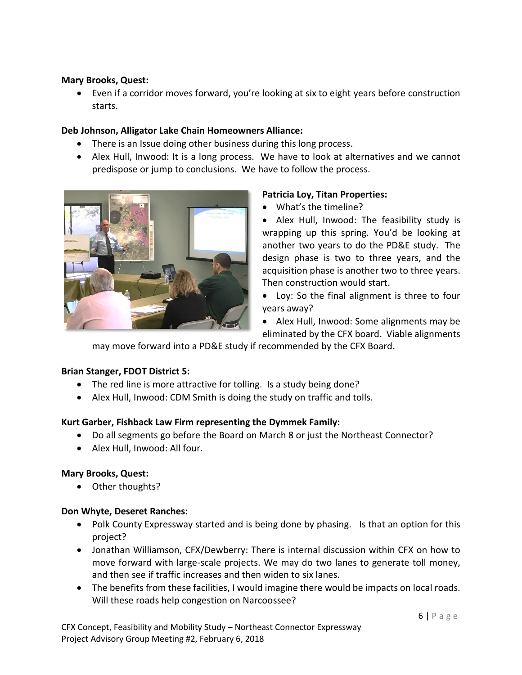#### **Mary Brooks, Quest:**

• Even if a corridor moves forward, you're looking at six to eight years before construction starts.

### **Deb Johnson, Alligator Lake Chain Homeowners Alliance:**

- There is an Issue doing other business during this long process.
- Alex Hull, Inwood: It is a long process. We have to look at alternatives and we cannot predispose or jump to conclusions. We have to follow the process.



### **Patricia Loy, Titan Properties:**

- What's the timeline?
- Alex Hull, Inwood: The feasibility study is wrapping up this spring. You'd be looking at another two years to do the PD&E study. The design phase is two to three years, and the acquisition phase is another two to three years. Then construction would start.
- Loy: So the final alignment is three to four years away?
- Alex Hull, Inwood: Some alignments may be eliminated by the CFX board. Viable alignments

may move forward into a PD&E study if recommended by the CFX Board.

### **Brian Stanger, FDOT District 5:**

- The red line is more attractive for tolling. Is a study being done?
- Alex Hull, Inwood: CDM Smith is doing the study on traffic and tolls.

### **Kurt Garber, Fishback Law Firm representing the Dymmek Family:**

- Do all segments go before the Board on March 8 or just the Northeast Connector?
- Alex Hull, Inwood: All four.

### **Mary Brooks, Quest:**

• Other thoughts?

### **Don Whyte, Deseret Ranches:**

- Polk County Expressway started and is being done by phasing. Is that an option for this project?
- Jonathan Williamson, CFX/Dewberry: There is internal discussion within CFX on how to move forward with large-scale projects. We may do two lanes to generate toll money, and then see if traffic increases and then widen to six lanes.
- The benefits from these facilities, I would imagine there would be impacts on local roads. Will these roads help congestion on Narcoossee?